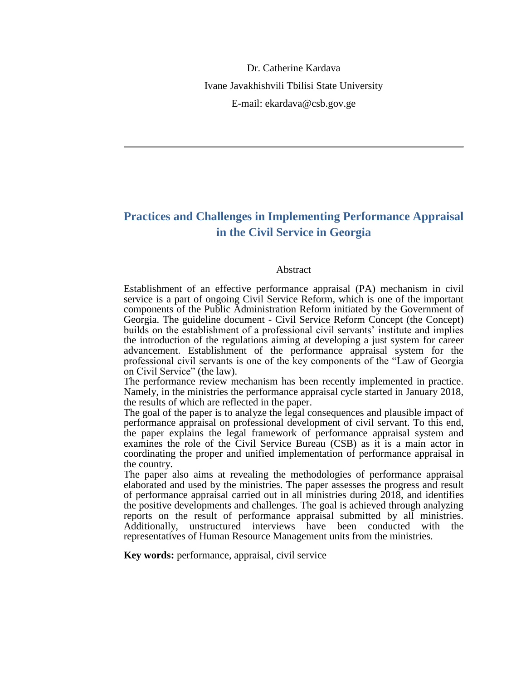Dr. Catherine Kardava Ivane Javakhishvili Tbilisi State University E-mail: ekardava@csb.gov.ge

# **Practices and Challenges in Implementing Performance Appraisal in the Civil Service in Georgia**

#### Abstract

Establishment of an effective performance appraisal (PA) mechanism in civil service is a part of ongoing Civil Service Reform, which is one of the important components of the Public Administration Reform initiated by the Government of Georgia. The guideline document - Civil Service Reform Concept (the Concept) builds on the establishment of a professional civil servants' institute and implies the introduction of the regulations aiming at developing a just system for career advancement. Establishment of the performance appraisal system for the professional civil servants is one of the key components of the "Law of Georgia on Civil Service" (the law).

The performance review mechanism has been recently implemented in practice. Namely, in the ministries the performance appraisal cycle started in January 2018, the results of which are reflected in the paper.

The goal of the paper is to analyze the legal consequences and plausible impact of performance appraisal on professional development of civil servant. To this end, the paper explains the legal framework of performance appraisal system and examines the role of the Civil Service Bureau (CSB) as it is a main actor in coordinating the proper and unified implementation of performance appraisal in the country.

The paper also aims at revealing the methodologies of performance appraisal elaborated and used by the ministries. The paper assesses the progress and result of performance appraisal carried out in all ministries during 2018, and identifies the positive developments and challenges. The goal is achieved through analyzing reports on the result of performance appraisal submitted by all ministries. Additionally, unstructured interviews have been conducted with the representatives of Human Resource Management units from the ministries.

**Key words:** performance, appraisal, civil service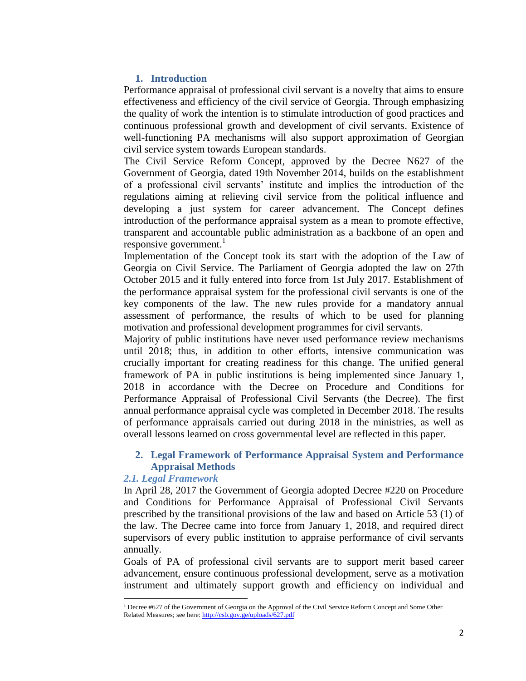## **1. Introduction**

Performance appraisal of professional civil servant is a novelty that aims to ensure effectiveness and efficiency of the civil service of Georgia. Through emphasizing the quality of work the intention is to stimulate introduction of good practices and continuous professional growth and development of civil servants. Existence of well-functioning PA mechanisms will also support approximation of Georgian civil service system towards European standards.

The Civil Service Reform Concept, approved by the Decree N627 of the Government of Georgia, dated 19th November 2014, builds on the establishment of a professional civil servants' institute and implies the introduction of the regulations aiming at relieving civil service from the political influence and developing a just system for career advancement. The Concept defines introduction of the performance appraisal system as a mean to promote effective, transparent and accountable public administration as a backbone of an open and responsive government. $\frac{1}{1}$ 

Implementation of the Concept took its start with the adoption of the Law of Georgia on Civil Service. The Parliament of Georgia adopted the law on 27th October 2015 and it fully entered into force from 1st July 2017. Establishment of the performance appraisal system for the professional civil servants is one of the key components of the law. The new rules provide for a mandatory annual assessment of performance, the results of which to be used for planning motivation and professional development programmes for civil servants.

Majority of public institutions have never used performance review mechanisms until 2018; thus, in addition to other efforts, intensive communication was crucially important for creating readiness for this change. The unified general framework of PA in public institutions is being implemented since January 1, 2018 in accordance with the Decree on Procedure and Conditions for Performance Appraisal of Professional Civil Servants (the Decree). The first annual performance appraisal cycle was completed in December 2018. The results of performance appraisals carried out during 2018 in the ministries, as well as overall lessons learned on cross governmental level are reflected in this paper.

# **2. Legal Framework of Performance Appraisal System and Performance Appraisal Methods**

### *2.1. Legal Framework*

l

In April 28, 2017 the Government of Georgia adopted Decree #220 on Procedure and Conditions for Performance Appraisal of Professional Civil Servants prescribed by the transitional provisions of the law and based on Article 53 (1) of the law. The Decree came into force from January 1, 2018, and required direct supervisors of every public institution to appraise performance of civil servants annually.

Goals of PA of professional civil servants are to support merit based career advancement, ensure continuous professional development, serve as a motivation instrument and ultimately support growth and efficiency on individual and

<sup>1</sup> Decree #627 of the Government of Georgia on the Approval of the Civil Service Reform Concept and Some Other Related Measures; see here[: http://csb.gov.ge/uploads/627.pdf](http://csb.gov.ge/uploads/627.pdf)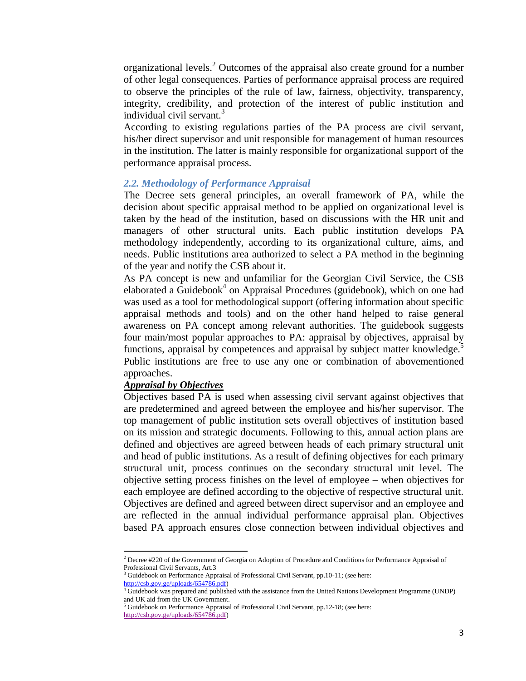organizational levels.<sup>2</sup> Outcomes of the appraisal also create ground for a number of other legal consequences. Parties of performance appraisal process are required to observe the principles of the rule of law, fairness, objectivity, transparency, integrity, credibility, and protection of the interest of public institution and individual civil servant. $3$ 

According to existing regulations parties of the PA process are civil servant, his/her direct supervisor and unit responsible for management of human resources in the institution. The latter is mainly responsible for organizational support of the performance appraisal process.

#### *2.2. Methodology of Performance Appraisal*

The Decree sets general principles, an overall framework of PA, while the decision about specific appraisal method to be applied on organizational level is taken by the head of the institution, based on discussions with the HR unit and managers of other structural units. Each public institution develops PA methodology independently, according to its organizational culture, aims, and needs. Public institutions area authorized to select a PA method in the beginning of the year and notify the CSB about it.

As PA concept is new and unfamiliar for the Georgian Civil Service, the CSB elaborated a Guidebook<sup>4</sup> on Appraisal Procedures (guidebook), which on one had was used as a tool for methodological support (offering information about specific appraisal methods and tools) and on the other hand helped to raise general awareness on PA concept among relevant authorities. The guidebook suggests four main/most popular approaches to PA: appraisal by objectives, appraisal by functions, appraisal by competences and appraisal by subject matter knowledge.<sup>5</sup> Public institutions are free to use any one or combination of abovementioned approaches.

## *Appraisal by Objectives*

 $\overline{a}$ 

Objectives based PA is used when assessing civil servant against objectives that are predetermined and agreed between the employee and his/her supervisor. The top management of public institution sets overall objectives of institution based on its mission and strategic documents. Following to this, annual action plans are defined and objectives are agreed between heads of each primary structural unit and head of public institutions. As a result of defining objectives for each primary structural unit, process continues on the secondary structural unit level. The objective setting process finishes on the level of employee – when objectives for each employee are defined according to the objective of respective structural unit. Objectives are defined and agreed between direct supervisor and an employee and are reflected in the annual individual performance appraisal plan. Objectives based PA approach ensures close connection between individual objectives and

<sup>&</sup>lt;sup>2</sup> Decree #220 of the Government of Georgia on Adoption of Procedure and Conditions for Performance Appraisal of Professional Civil Servants, Art.3

 $3$  Guidebook on Performance Appraisal of Professional Civil Servant, pp.10-11; (see here: [http://csb.gov.ge/uploads/654786.pdf\)](http://csb.gov.ge/uploads/654786.pdf)

Guidebook was prepared and published with the assistance from the United Nations Development Programme (UNDP) and UK aid from the UK Government.

<sup>5</sup> Guidebook on Performance Appraisal of Professional Civil Servant, pp.12-18; (see here: [http://csb.gov.ge/uploads/654786.pdf\)](http://csb.gov.ge/uploads/654786.pdf)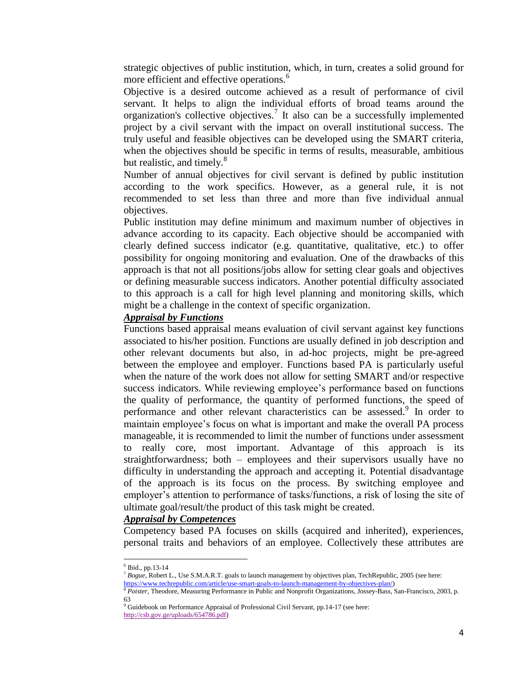strategic objectives of public institution, which, in turn, creates a solid ground for more efficient and effective operations.<sup>6</sup>

Objective is a desired outcome achieved as a result of performance of civil servant. It helps to align the individual efforts of broad teams around the organization's collective objectives.<sup>7</sup> It also can be a successfully implemented project by a civil servant with the impact on overall institutional success. The truly useful and feasible objectives can be developed using the SMART criteria, when the objectives should be specific in terms of results, measurable, ambitious but realistic, and timely.<sup>8</sup>

Number of annual objectives for civil servant is defined by public institution according to the work specifics. However, as a general rule, it is not recommended to set less than three and more than five individual annual objectives.

Public institution may define minimum and maximum number of objectives in advance according to its capacity. Each objective should be accompanied with clearly defined success indicator (e.g. quantitative, qualitative, etc.) to offer possibility for ongoing monitoring and evaluation. One of the drawbacks of this approach is that not all positions/jobs allow for setting clear goals and objectives or defining measurable success indicators. Another potential difficulty associated to this approach is a call for high level planning and monitoring skills, which might be a challenge in the context of specific organization.

## *Appraisal by Functions*

Functions based appraisal means evaluation of civil servant against key functions associated to his/her position. Functions are usually defined in job description and other relevant documents but also, in ad-hoc projects, might be pre-agreed between the employee and employer. Functions based PA is particularly useful when the nature of the work does not allow for setting SMART and/or respective success indicators. While reviewing employee's performance based on functions the quality of performance, the quantity of performed functions, the speed of performance and other relevant characteristics can be assessed.<sup>9</sup> In order to maintain employee's focus on what is important and make the overall PA process manageable, it is recommended to limit the number of functions under assessment to really core, most important. Advantage of this approach is its straightforwardness; both – employees and their supervisors usually have no difficulty in understanding the approach and accepting it. Potential disadvantage of the approach is its focus on the process. By switching employee and employer's attention to performance of tasks/functions, a risk of losing the site of ultimate goal/result/the product of this task might be created.

#### *Appraisal by Competences*

Competency based PA focuses on skills (acquired and inherited), experiences, personal traits and behaviors of an employee. Collectively these attributes are

 $\overline{\phantom{a}}$ 

 $6$  Ibid., pp.13-14

<sup>7</sup> *Bogue*, Robert L., Use S.M.A.R.T. goals to launch management by objectives plan, TechRepublic, 2005 (see here: [https://www.techrepublic.com/article/use-smart-goals-to-launch-management-by-objectives-plan/\)](https://www.techrepublic.com/article/use-smart-goals-to-launch-management-by-objectives-plan/)

<sup>8</sup> *Poister,* Theodore, Measuring Performance in Public and Nonprofit Organizations, Jossey-Bass, San-Francisco, 2003, p. 63

<sup>&</sup>lt;sup>9</sup> Guidebook on Performance Appraisal of Professional Civil Servant, pp.14-17 (see here: [http://csb.gov.ge/uploads/654786.pdf\)](http://csb.gov.ge/uploads/654786.pdf)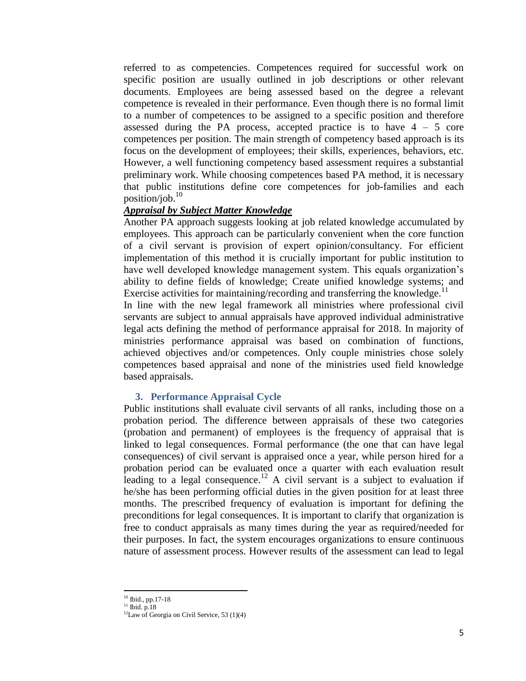referred to as competencies. Competences required for successful work on specific position are usually outlined in job descriptions or other relevant documents. Employees are being assessed based on the degree a relevant competence is revealed in their performance. Even though there is no formal limit to a number of competences to be assigned to a specific position and therefore assessed during the PA process, accepted practice is to have  $4 - 5$  core competences per position. The main strength of competency based approach is its focus on the development of employees; their skills, experiences, behaviors, etc. However, a well functioning competency based assessment requires a substantial preliminary work. While choosing competences based PA method, it is necessary that public institutions define core competences for job-families and each position/job. 10

## *Appraisal by Subject Matter Knowledge*

Another PA approach suggests looking at job related knowledge accumulated by employees. This approach can be particularly convenient when the core function of a civil servant is provision of expert opinion/consultancy. For efficient implementation of this method it is crucially important for public institution to have well developed knowledge management system. This equals organization's ability to define fields of knowledge; Create unified knowledge systems; and Exercise activities for maintaining/recording and transferring the knowledge.<sup>11</sup>

In line with the new legal framework all ministries where professional civil servants are subject to annual appraisals have approved individual administrative legal acts defining the method of performance appraisal for 2018. In majority of ministries performance appraisal was based on combination of functions, achieved objectives and/or competences. Only couple ministries chose solely competences based appraisal and none of the ministries used field knowledge based appraisals.

## **3. Performance Appraisal Cycle**

Public institutions shall evaluate civil servants of all ranks, including those on a probation period. The difference between appraisals of these two categories (probation and permanent) of employees is the frequency of appraisal that is linked to legal consequences. Formal performance (the one that can have legal consequences) of civil servant is appraised once a year, while person hired for a probation period can be evaluated once a quarter with each evaluation result leading to a legal consequence.<sup>12</sup> A civil servant is a subject to evaluation if he/she has been performing official duties in the given position for at least three months. The prescribed frequency of evaluation is important for defining the preconditions for legal consequences. It is important to clarify that organization is free to conduct appraisals as many times during the year as required/needed for their purposes. In fact, the system encourages organizations to ensure continuous nature of assessment process. However results of the assessment can lead to legal

 $\overline{\phantom{a}}$ <sup>10</sup> Ibid., pp.17-18

 $11$  Ibid. p.18

 $12$ Law of Georgia on Civil Service, 53 (1)(4)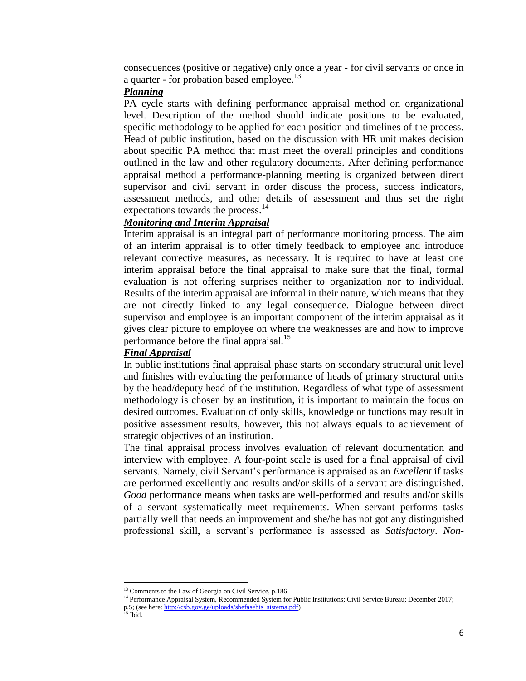consequences (positive or negative) only once a year - for civil servants or once in a quarter - for probation based employee.<sup>13</sup>

### *Planning*

PA cycle starts with defining performance appraisal method on organizational level. Description of the method should indicate positions to be evaluated, specific methodology to be applied for each position and timelines of the process. Head of public institution, based on the discussion with HR unit makes decision about specific PA method that must meet the overall principles and conditions outlined in the law and other regulatory documents. After defining performance appraisal method a performance-planning meeting is organized between direct supervisor and civil servant in order discuss the process, success indicators, assessment methods, and other details of assessment and thus set the right expectations towards the process.<sup>14</sup>

## *Monitoring and Interim Appraisal*

Interim appraisal is an integral part of performance monitoring process. The aim of an interim appraisal is to offer timely feedback to employee and introduce relevant corrective measures, as necessary. It is required to have at least one interim appraisal before the final appraisal to make sure that the final, formal evaluation is not offering surprises neither to organization nor to individual. Results of the interim appraisal are informal in their nature, which means that they are not directly linked to any legal consequence. Dialogue between direct supervisor and employee is an important component of the interim appraisal as it gives clear picture to employee on where the weaknesses are and how to improve performance before the final appraisal.<sup>15</sup>

#### *Final Appraisal*

In public institutions final appraisal phase starts on secondary structural unit level and finishes with evaluating the performance of heads of primary structural units by the head/deputy head of the institution. Regardless of what type of assessment methodology is chosen by an institution, it is important to maintain the focus on desired outcomes. Evaluation of only skills, knowledge or functions may result in positive assessment results, however, this not always equals to achievement of strategic objectives of an institution.

The final appraisal process involves evaluation of relevant documentation and interview with employee. A four-point scale is used for a final appraisal of civil servants. Namely, civil Servant's performance is appraised as an *Excellent* if tasks are performed excellently and results and/or skills of a servant are distinguished. *Good* performance means when tasks are well-performed and results and/or skills of a servant systematically meet requirements. When servant performs tasks partially well that needs an improvement and she/he has not got any distinguished professional skill, a servant's performance is assessed as *Satisfactory*. *Non-*

 $\overline{a}$ 

<sup>&</sup>lt;sup>13</sup> Comments to the Law of Georgia on Civil Service, p.186

<sup>&</sup>lt;sup>14</sup> Performance Appraisal System, Recommended System for Public Institutions; Civil Service Bureau; December 2017;

p.5; (see here[: http://csb.gov.ge/uploads/shefasebis\\_sistema.pdf\)](http://csb.gov.ge/uploads/shefasebis_sistema.pdf)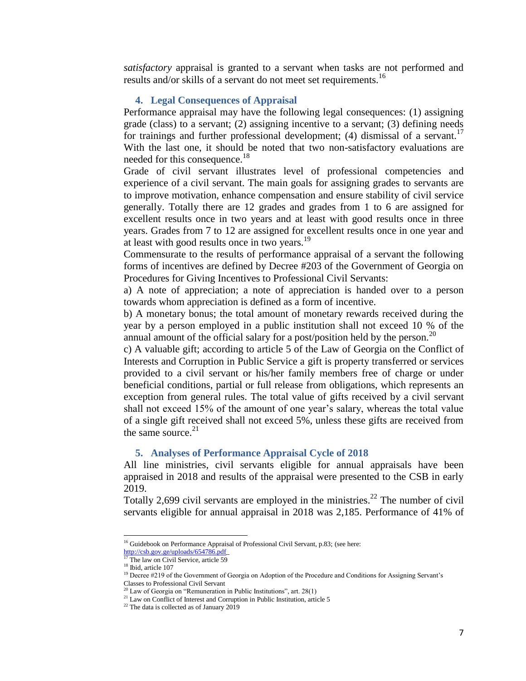*satisfactory* appraisal is granted to a servant when tasks are not performed and results and/or skills of a servant do not meet set requirements.<sup>16</sup>

#### **4. Legal Consequences of Appraisal**

Performance appraisal may have the following legal consequences: (1) assigning grade (class) to a servant; (2) assigning incentive to a servant; (3) defining needs for trainings and further professional development; (4) dismissal of a servant.<sup>17</sup> With the last one, it should be noted that two non-satisfactory evaluations are needed for this consequence.<sup>18</sup>

Grade of civil servant illustrates level of professional competencies and experience of a civil servant. The main goals for assigning grades to servants are to improve motivation, enhance compensation and ensure stability of civil service generally. Totally there are 12 grades and grades from 1 to 6 are assigned for excellent results once in two years and at least with good results once in three years. Grades from 7 to 12 are assigned for excellent results once in one year and at least with good results once in two years.<sup>19</sup>

Commensurate to the results of performance appraisal of a servant the following forms of incentives are defined by Decree #203 of the Government of Georgia on Procedures for Giving Incentives to Professional Civil Servants:

a) A note of appreciation; a note of appreciation is handed over to a person towards whom appreciation is defined as a form of incentive.

b) A monetary bonus; the total amount of monetary rewards received during the year by a person employed in a public institution shall not exceed 10 % of the annual amount of the official salary for a post/position held by the person.<sup>20</sup>

c) A valuable gift; according to article 5 of the Law of Georgia on the Conflict of Interests and Corruption in Public Service a gift is property transferred or services provided to a civil servant or his/her family members free of charge or under beneficial conditions, partial or full release from obligations, which represents an exception from general rules. The total value of gifts received by a civil servant shall not exceed 15% of the amount of one year's salary, whereas the total value of a single gift received shall not exceed 5%, unless these gifts are received from the same source. $21$ 

#### **5. Analyses of Performance Appraisal Cycle of 2018**

All line ministries, civil servants eligible for annual appraisals have been appraised in 2018 and results of the appraisal were presented to the CSB in early 2019.

Totally 2,699 civil servants are employed in the ministries.<sup>22</sup> The number of civil servants eligible for annual appraisal in 2018 was 2,185. Performance of 41% of

 $\overline{a}$ 

 $21$  Law on Conflict of Interest and Corruption in Public Institution, article 5

<sup>&</sup>lt;sup>16</sup> Guidebook on Performance Appraisal of Professional Civil Servant, p.83; (see here:

[http://csb.gov.ge/uploads/654786.pdf\\_](http://csb.gov.ge/uploads/654786.pdf)

 $17$  The law on Civil Service, article 59 <sup>18</sup> Ibid, article 107

<sup>&</sup>lt;sup>19</sup> Decree #219 of the Government of Georgia on Adoption of the Procedure and Conditions for Assigning Servant's Classes to Professional Civil Servant

 $0$  Law of Georgia on "Remuneration in Public Institutions", art. 28(1)

<sup>22</sup> The data is collected as of January 2019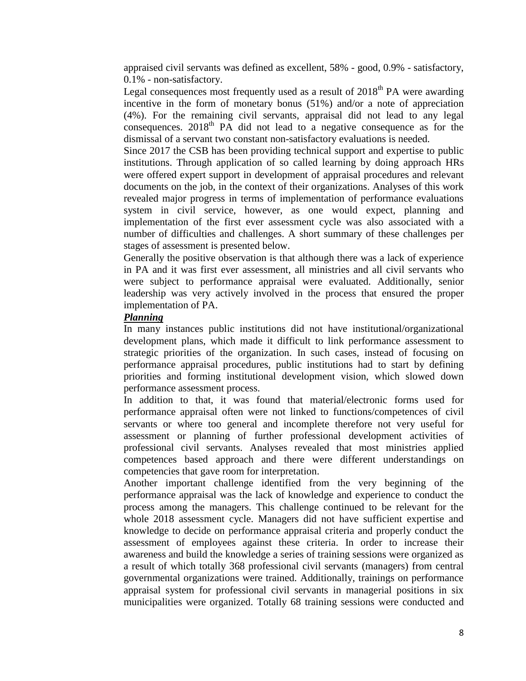appraised civil servants was defined as excellent, 58% - good, 0.9% - satisfactory, 0.1% - non-satisfactory.

Legal consequences most frequently used as a result of  $2018<sup>th</sup> PA$  were awarding incentive in the form of monetary bonus (51%) and/or a note of appreciation (4%). For the remaining civil servants, appraisal did not lead to any legal consequences.  $2018<sup>th</sup> PA$  did not lead to a negative consequence as for the dismissal of a servant two constant non-satisfactory evaluations is needed.

Since 2017 the CSB has been providing technical support and expertise to public institutions. Through application of so called learning by doing approach HRs were offered expert support in development of appraisal procedures and relevant documents on the job, in the context of their organizations. Analyses of this work revealed major progress in terms of implementation of performance evaluations system in civil service, however, as one would expect, planning and implementation of the first ever assessment cycle was also associated with a number of difficulties and challenges. A short summary of these challenges per stages of assessment is presented below.

Generally the positive observation is that although there was a lack of experience in PA and it was first ever assessment, all ministries and all civil servants who were subject to performance appraisal were evaluated. Additionally, senior leadership was very actively involved in the process that ensured the proper implementation of PA.

# *Planning*

In many instances public institutions did not have institutional/organizational development plans, which made it difficult to link performance assessment to strategic priorities of the organization. In such cases, instead of focusing on performance appraisal procedures, public institutions had to start by defining priorities and forming institutional development vision, which slowed down performance assessment process.

In addition to that, it was found that material/electronic forms used for performance appraisal often were not linked to functions/competences of civil servants or where too general and incomplete therefore not very useful for assessment or planning of further professional development activities of professional civil servants. Analyses revealed that most ministries applied competences based approach and there were different understandings on competencies that gave room for interpretation.

Another important challenge identified from the very beginning of the performance appraisal was the lack of knowledge and experience to conduct the process among the managers. This challenge continued to be relevant for the whole 2018 assessment cycle. Managers did not have sufficient expertise and knowledge to decide on performance appraisal criteria and properly conduct the assessment of employees against these criteria. In order to increase their awareness and build the knowledge a series of training sessions were organized as a result of which totally 368 professional civil servants (managers) from central governmental organizations were trained. Additionally, trainings on performance appraisal system for professional civil servants in managerial positions in six municipalities were organized. Totally 68 training sessions were conducted and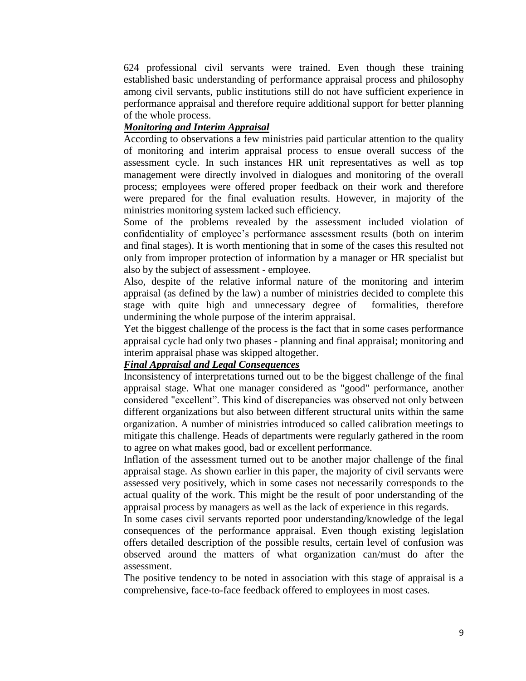624 professional civil servants were trained. Even though these training established basic understanding of performance appraisal process and philosophy among civil servants, public institutions still do not have sufficient experience in performance appraisal and therefore require additional support for better planning of the whole process.

## *Monitoring and Interim Appraisal*

According to observations a few ministries paid particular attention to the quality of monitoring and interim appraisal process to ensue overall success of the assessment cycle. In such instances HR unit representatives as well as top management were directly involved in dialogues and monitoring of the overall process; employees were offered proper feedback on their work and therefore were prepared for the final evaluation results. However, in majority of the ministries monitoring system lacked such efficiency.

Some of the problems revealed by the assessment included violation of confidentiality of employee's performance assessment results (both on interim and final stages). It is worth mentioning that in some of the cases this resulted not only from improper protection of information by a manager or HR specialist but also by the subject of assessment - employee.

Also, despite of the relative informal nature of the monitoring and interim appraisal (as defined by the law) a number of ministries decided to complete this stage with quite high and unnecessary degree of formalities, therefore undermining the whole purpose of the interim appraisal.

Yet the biggest challenge of the process is the fact that in some cases performance appraisal cycle had only two phases - planning and final appraisal; monitoring and interim appraisal phase was skipped altogether.

## *Final Appraisal and Legal Consequences*

Inconsistency of interpretations turned out to be the biggest challenge of the final appraisal stage. What one manager considered as "good" performance, another considered "excellent". This kind of discrepancies was observed not only between different organizations but also between different structural units within the same organization. A number of ministries introduced so called calibration meetings to mitigate this challenge. Heads of departments were regularly gathered in the room to agree on what makes good, bad or excellent performance.

Inflation of the assessment turned out to be another major challenge of the final appraisal stage. As shown earlier in this paper, the majority of civil servants were assessed very positively, which in some cases not necessarily corresponds to the actual quality of the work. This might be the result of poor understanding of the appraisal process by managers as well as the lack of experience in this regards.

In some cases civil servants reported poor understanding/knowledge of the legal consequences of the performance appraisal. Even though existing legislation offers detailed description of the possible results, certain level of confusion was observed around the matters of what organization can/must do after the assessment.

The positive tendency to be noted in association with this stage of appraisal is a comprehensive, face-to-face feedback offered to employees in most cases.